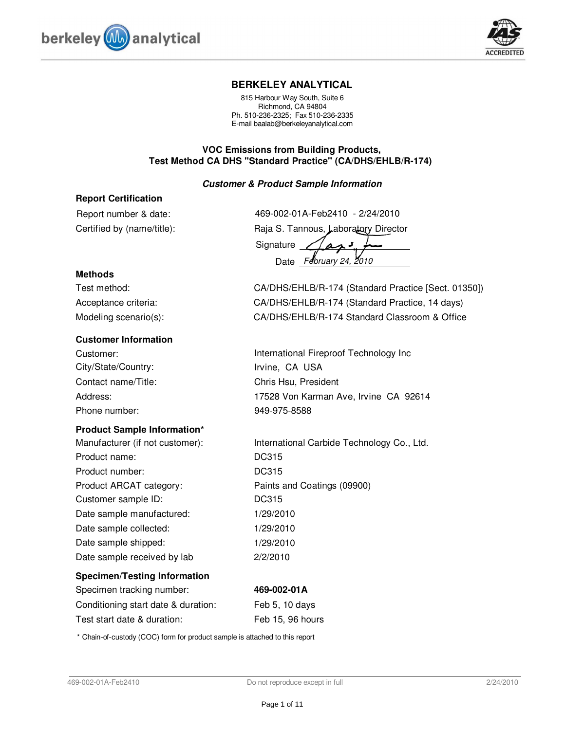



#### **BERKELEY ANALYTICAL**

815 Harbour Way South, Suite 6 Richmond, CA 94804 Ph. 510-236-2325; Fax 510-236-2335 E-mail baalab@berkeleyanalytical.com

#### **VOC Emissions from Building Products, Test Method CA DHS "Standard Practice" (CA/DHS/EHLB/R-174)**

#### **Customer & Product Sample Information**

#### **Report Certification**

Certified by (name/title): Report number & date: 469-002-01A-Feb2410 - 2/24/2010

| TUJU UUL U II II UUL TIU<br>_________ |
|---------------------------------------|
| Raja S. Tannous, Laboratory Director  |
| Signature $Z$                         |
| Date February 24, 2010                |

#### **Methods**

Test method: CA/DHS/EHLB/R-174 (Standard Practice [Sect. 01350]) Acceptance criteria: CA/DHS/EHLB/R-174 (Standard Practice, 14 days) Modeling scenario(s): CA/DHS/EHLB/R-174 Standard Classroom & Office

#### **Customer Information**

City/State/Country: Irvine, CA USA Contact name/Title: Chris Hsu, President Phone number: 949-975-8588

#### **Product Sample Information\***

Product name: DC315 Product ARCAT category: Paints and Coatings (09900) Product number: DC315 Date sample manufactured: 1/29/2010 Date sample collected: 1/29/2010 Date sample shipped: 1/29/2010 Date sample received by lab 2/2/2010 Customer sample ID: DC315

# **Specimen/Testing Information**

Specimen tracking number: **469-002-01A** Conditioning start date & duration: Feb 5, 10 days Test start date & duration: Feb 15, 96 hours

Customer: **International Fireproof Technology Inc** 

Address: 17528 Von Karman Ave, Irvine CA 92614

Manufacturer (if not customer): International Carbide Technology Co., Ltd.

\* Chain-of-custody (COC) form for product sample is attached to this report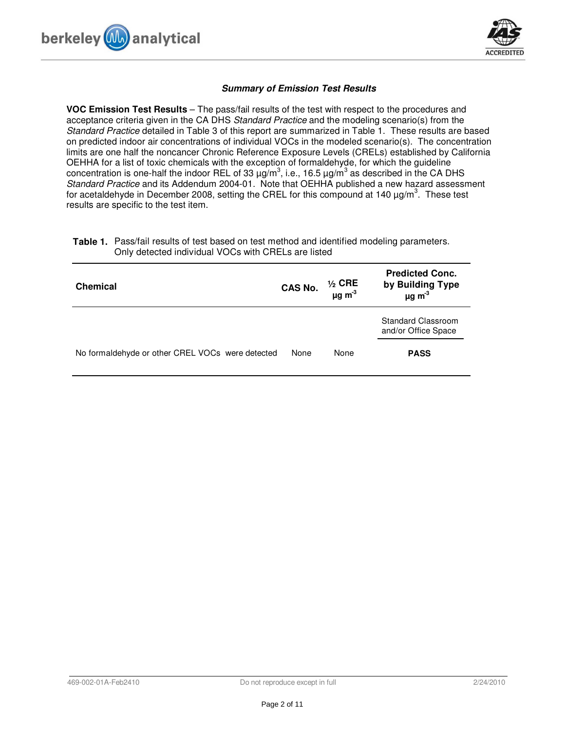



#### **Summary of Emission Test Results**

**VOC Emission Test Results** – The pass/fail results of the test with respect to the procedures and acceptance criteria given in the CA DHS Standard Practice and the modeling scenario(s) from the Standard Practice detailed in Table 3 of this report are summarized in Table 1. These results are based on predicted indoor air concentrations of individual VOCs in the modeled scenario(s). The concentration limits are one half the noncancer Chronic Reference Exposure Levels (CRELs) established by California OEHHA for a list of toxic chemicals with the exception of formaldehyde, for which the guideline concentration is one-half the indoor REL of 33  $\mu$ g/m<sup>3</sup>, i.e., 16.5  $\mu$ g/m<sup>3</sup> as described in the CA DHS Standard Practice and its Addendum 2004-01. Note that OEHHA published a new hazard assessment for acetaldehyde in December 2008, setting the CREL for this compound at 140  $\mu$ g/m<sup>3</sup>. These test results are specific to the test item.

| <b>Chemical</b>                                  | CAS No. | $\frac{1}{2}$ CRE<br>$\mu$ g m <sup>-3</sup> | <b>Predicted Conc.</b><br>by Building Type<br>$\mu$ g m <sup>-3</sup> |
|--------------------------------------------------|---------|----------------------------------------------|-----------------------------------------------------------------------|
|                                                  |         |                                              | Standard Classroom<br>and/or Office Space                             |
| No formaldehyde or other CREL VOCs were detected | None    | None                                         | <b>PASS</b>                                                           |

**Table 1.** Pass/fail results of test based on test method and identified modeling parameters. Only detected individual VOCs with CRELs are listed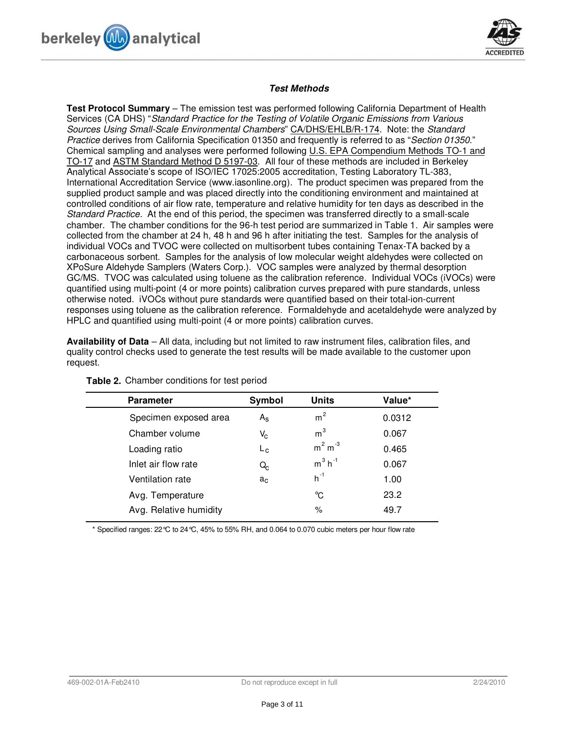



#### **Test Methods**

**Test Protocol Summary** – The emission test was performed following California Department of Health Services (CA DHS) "Standard Practice for the Testing of Volatile Organic Emissions from Various Sources Using Small-Scale Environmental Chambers" CA/DHS/EHLB/R-174. Note: the Standard Practice derives from California Specification 01350 and frequently is referred to as "Section 01350." Chemical sampling and analyses were performed following U.S. EPA Compendium Methods TO-1 and TO-17 and ASTM Standard Method D 5197-03. All four of these methods are included in Berkeley Analytical Associate's scope of ISO/IEC 17025:2005 accreditation, Testing Laboratory TL-383, International Accreditation Service (www.iasonline.org). The product specimen was prepared from the supplied product sample and was placed directly into the conditioning environment and maintained at controlled conditions of air flow rate, temperature and relative humidity for ten days as described in the Standard Practice. At the end of this period, the specimen was transferred directly to a small-scale chamber. The chamber conditions for the 96-h test period are summarized in Table 1. Air samples were collected from the chamber at 24 h, 48 h and 96 h after initiating the test. Samples for the analysis of individual VOCs and TVOC were collected on multisorbent tubes containing Tenax-TA backed by a carbonaceous sorbent. Samples for the analysis of low molecular weight aldehydes were collected on XPoSure Aldehyde Samplers (Waters Corp.). VOC samples were analyzed by thermal desorption GC/MS. TVOC was calculated using toluene as the calibration reference. Individual VOCs (iVOCs) were quantified using multi-point (4 or more points) calibration curves prepared with pure standards, unless otherwise noted. iVOCs without pure standards were quantified based on their total-ion-current responses using toluene as the calibration reference. Formaldehyde and acetaldehyde were analyzed by HPLC and quantified using multi-point (4 or more points) calibration curves.

**Availability of Data** – All data, including but not limited to raw instrument files, calibration files, and quality control checks used to generate the test results will be made available to the customer upon request.

| <b>Parameter</b>       | Symbol      | <b>Units</b>          | Value* |
|------------------------|-------------|-----------------------|--------|
| Specimen exposed area  | $A_{\rm S}$ | m <sup>2</sup>        | 0.0312 |
| Chamber volume         | $V_{\rm C}$ | m <sup>3</sup>        | 0.067  |
| Loading ratio          | $L_{\rm c}$ | $m2 m-3$              | 0.465  |
| Inlet air flow rate    | Q.          | $m^3$ h <sup>-1</sup> | 0.067  |
| Ventilation rate       | $a_c$       | $h^{-1}$              | 1.00   |
| Avg. Temperature       |             | °C                    | 23.2   |
| Avg. Relative humidity |             | $\%$                  | 49.7   |
|                        |             |                       |        |

**Table 2.** Chamber conditions for test period

\* Specified ranges: 22°C to 24°C, 45% to 55% RH, and 0.064 to 0.070 cubic meters per hour flow rate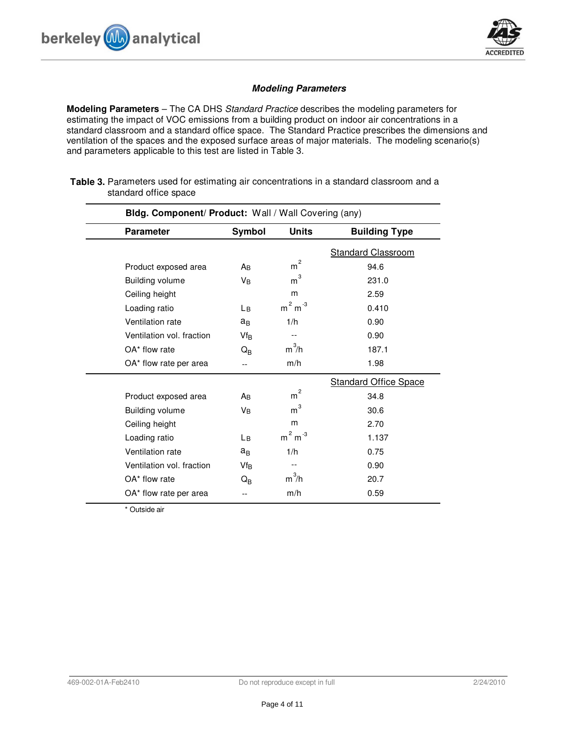



#### **Modeling Parameters**

**Modeling Parameters** – The CA DHS Standard Practice describes the modeling parameters for estimating the impact of VOC emissions from a building product on indoor air concentrations in a standard classroom and a standard office space. The Standard Practice prescribes the dimensions and ventilation of the spaces and the exposed surface areas of major materials. The modeling scenario(s) and parameters applicable to this test are listed in Table 3.

| Bldg. Component/ Product: Wall / Wall Covering (any) |                         |                     |                              |  |
|------------------------------------------------------|-------------------------|---------------------|------------------------------|--|
| <b>Parameter</b>                                     | Symbol                  | <b>Units</b>        | <b>Building Type</b>         |  |
|                                                      |                         |                     | <b>Standard Classroom</b>    |  |
| Product exposed area                                 | Aв                      | $\overline{c}$<br>m | 94.6                         |  |
| <b>Building volume</b>                               | VB                      | 3<br>m              | 231.0                        |  |
| Ceiling height                                       |                         | m                   | 2.59                         |  |
| Loading ratio                                        | Lв                      | $m2 m-3$            | 0.410                        |  |
| Ventilation rate                                     | $a_{B}$                 | 1/h                 | 0.90                         |  |
| Ventilation vol. fraction                            | $Vf_B$                  | $-$                 | 0.90                         |  |
| OA* flow rate                                        | $Q_{\rm B}$             | $m^3/h$             | 187.1                        |  |
| OA* flow rate per area                               |                         | m/h                 | 1.98                         |  |
|                                                      |                         |                     | <b>Standard Office Space</b> |  |
| Product exposed area                                 | Aв                      | $\rm m^2$           | 34.8                         |  |
| <b>Building volume</b>                               | Vв                      | 3<br>m              | 30.6                         |  |
| Ceiling height                                       |                         | m                   | 2.70                         |  |
| Loading ratio                                        | Lв                      | $m2 m-3$            | 1.137                        |  |
| Ventilation rate                                     | $a_{B}$                 | 1/h                 | 0.75                         |  |
| Ventilation vol. fraction                            | $Vf_B$                  | $-$                 | 0.90                         |  |
| OA* flow rate                                        | $\mathsf{Q}_\mathsf{B}$ | $m^3/h$             | 20.7                         |  |
| OA* flow rate per area                               | --                      | m/h                 | 0.59                         |  |

**Table 3.** Parameters used for estimating air concentrations in a standard classroom and a standard office space

\* Outside air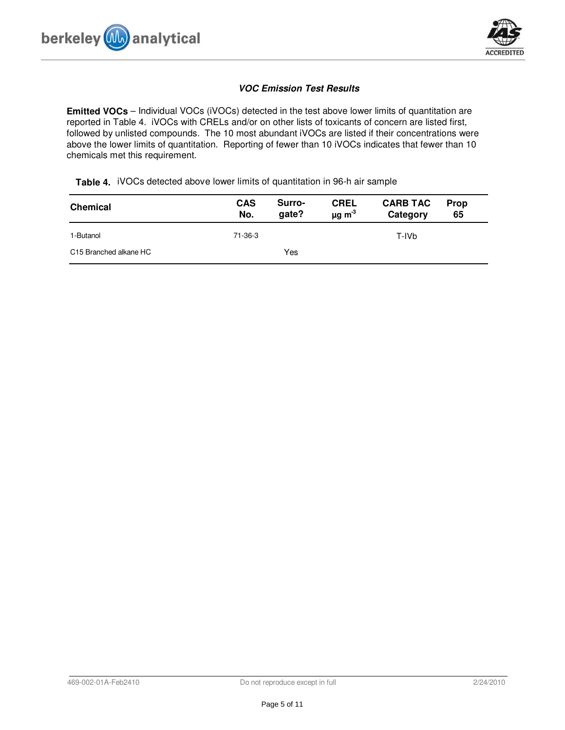



### **VOC Emission Test Results**

**Emitted VOCs** – Individual VOCs (iVOCs) detected in the test above lower limits of quantitation are reported in Table 4. iVOCs with CRELs and/or on other lists of toxicants of concern are listed first, followed by unlisted compounds. The 10 most abundant iVOCs are listed if their concentrations were above the lower limits of quantitation. Reporting of fewer than 10 iVOCs indicates that fewer than 10 chemicals met this requirement.

**Table 4.** iVOCs detected above lower limits of quantitation in 96-h air sample

| <b>Chemical</b>        | <b>CAS</b><br>No. | Surro-<br>gate? | <b>CREL</b><br>$\mu$ g m <sup>3</sup> | <b>CARB TAC</b><br>Category | Prop<br>65 |
|------------------------|-------------------|-----------------|---------------------------------------|-----------------------------|------------|
| 1-Butanol              | 71-36-3           |                 |                                       | T-IVb                       |            |
| C15 Branched alkane HC |                   | Yes             |                                       |                             |            |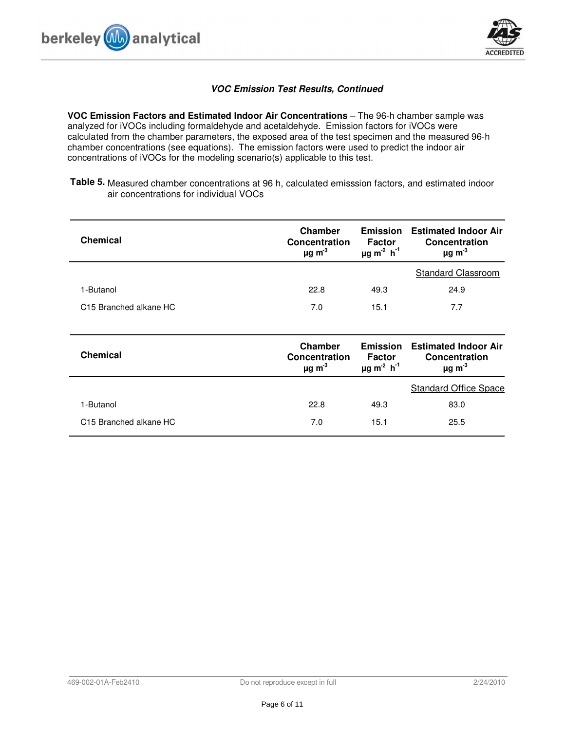

## **VOC Emission Test Results, Continued**

**VOC Emission Factors and Estimated Indoor Air Concentrations** – The 96-h chamber sample was analyzed for iVOCs including formaldehyde and acetaldehyde. Emission factors for iVOCs were calculated from the chamber parameters, the exposed area of the test specimen and the measured 96-h chamber concentrations (see equations). The emission factors were used to predict the indoor air concentrations of iVOCs for the modeling scenario(s) applicable to this test.

Table 5. Measured chamber concentrations at 96 h, calculated emisssion factors, and estimated indoor air concentrations for individual VOCs

| <b>Chemical</b>                    | Chamber<br><b>Concentration</b><br>$\mu$ g m <sup>-3</sup> | <b>Emission</b><br>Factor<br>$\mu$ g m <sup>-2</sup> h <sup>-1</sup>        | <b>Estimated Indoor Air</b><br><b>Concentration</b><br>$\mu$ g m <sup>-3</sup> |
|------------------------------------|------------------------------------------------------------|-----------------------------------------------------------------------------|--------------------------------------------------------------------------------|
|                                    |                                                            |                                                                             | <b>Standard Classroom</b>                                                      |
| 1-Butanol                          | 22.8                                                       | 49.3                                                                        | 24.9                                                                           |
| C <sub>15</sub> Branched alkane HC | 7.0                                                        | 15.1                                                                        | 7.7                                                                            |
|                                    |                                                            |                                                                             |                                                                                |
| <b>Chemical</b>                    | Chamber<br>Concentration<br>$\mu$ g m <sup>-3</sup>        | <b>Emission</b><br><b>Factor</b><br>$\mu$ g m <sup>-2</sup> h <sup>-1</sup> | <b>Estimated Indoor Air</b><br><b>Concentration</b><br>$\mu$ g m <sup>-3</sup> |
|                                    |                                                            |                                                                             | <b>Standard Office Space</b>                                                   |
| 1-Butanol                          | 22.8                                                       | 49.3                                                                        | 83.0                                                                           |
| C <sub>15</sub> Branched alkane HC | 7.0                                                        | 15.1                                                                        | 25.5                                                                           |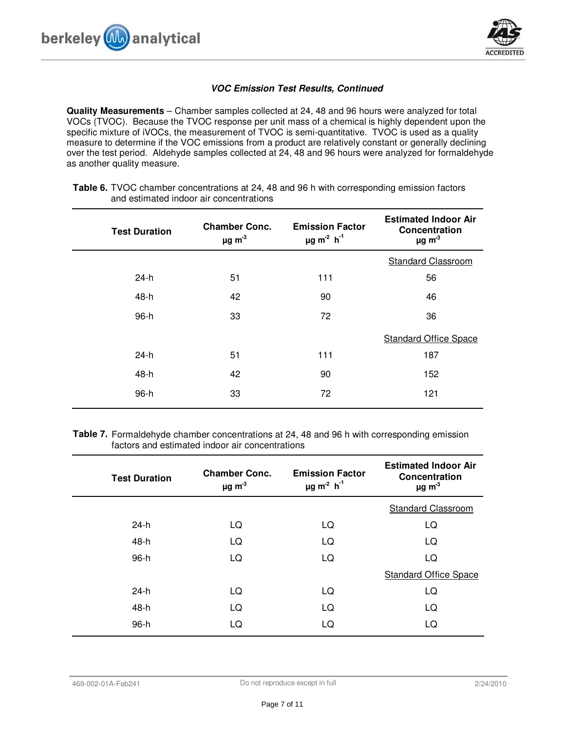

## **VOC Emission Test Results, Continued**

**Quality Measurements** – Chamber samples collected at 24, 48 and 96 hours were analyzed for total VOCs (TVOC). Because the TVOC response per unit mass of a chemical is highly dependent upon the specific mixture of iVOCs, the measurement of TVOC is semi-quantitative. TVOC is used as a quality measure to determine if the VOC emissions from a product are relatively constant or generally declining over the test period. Aldehyde samples collected at 24, 48 and 96 hours were analyzed for formaldehyde as another quality measure.

| <b>Test Duration</b> | <b>Chamber Conc.</b><br>$\mu$ g m <sup>-3</sup> | <b>Emission Factor</b><br>$\mu$ g m <sup>-2</sup> h <sup>-1</sup> | <b>Estimated Indoor Air</b><br>Concentration<br>$\mu$ g m <sup>-3</sup> |
|----------------------|-------------------------------------------------|-------------------------------------------------------------------|-------------------------------------------------------------------------|
|                      |                                                 |                                                                   | <b>Standard Classroom</b>                                               |
| $24-h$               | 51                                              | 111                                                               | 56                                                                      |
| 48-h                 | 42                                              | 90                                                                | 46                                                                      |
| 96-h                 | 33                                              | 72                                                                | 36                                                                      |
|                      |                                                 |                                                                   | <b>Standard Office Space</b>                                            |
| 24-h                 | 51                                              | 111                                                               | 187                                                                     |
| 48-h                 | 42                                              | 90                                                                | 152                                                                     |
| 96-h                 | 33                                              | 72                                                                | 121                                                                     |
|                      |                                                 |                                                                   |                                                                         |

**Table 6.** TVOC chamber concentrations at 24, 48 and 96 h with corresponding emission factors and estimated indoor air concentrations

**Table 7.** Formaldehyde chamber concentrations at 24, 48 and 96 h with corresponding emission factors and estimated indoor air concentrations

| <b>Test Duration</b> | <b>Chamber Conc.</b><br>$\mu$ g m <sup>-3</sup> | <b>Emission Factor</b><br>$\mu$ g m <sup>-2</sup> h <sup>-1</sup> | <b>Estimated Indoor Air</b><br>Concentration<br>$\mu$ g m <sup>-3</sup> |
|----------------------|-------------------------------------------------|-------------------------------------------------------------------|-------------------------------------------------------------------------|
|                      |                                                 |                                                                   | <b>Standard Classroom</b>                                               |
| $24-h$               | LQ                                              | LQ                                                                | LQ                                                                      |
| 48-h                 | LQ                                              | LQ                                                                | LQ                                                                      |
| 96-h                 | LQ                                              | LQ                                                                | LQ                                                                      |
|                      |                                                 |                                                                   | <b>Standard Office Space</b>                                            |
| $24-h$               | LQ                                              | LQ                                                                | LQ                                                                      |
| 48-h                 | LQ                                              | LQ                                                                | LQ                                                                      |
| 96-h                 | LQ                                              | LQ                                                                | LQ                                                                      |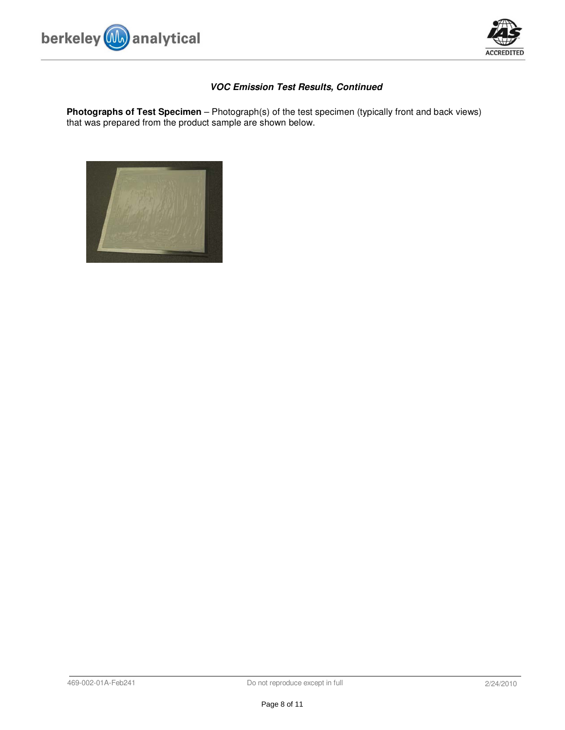



# **VOC Emission Test Results, Continued**

**Photographs of Test Specimen** – Photograph(s) of the test specimen (typically front and back views) that was prepared from the product sample are shown below.

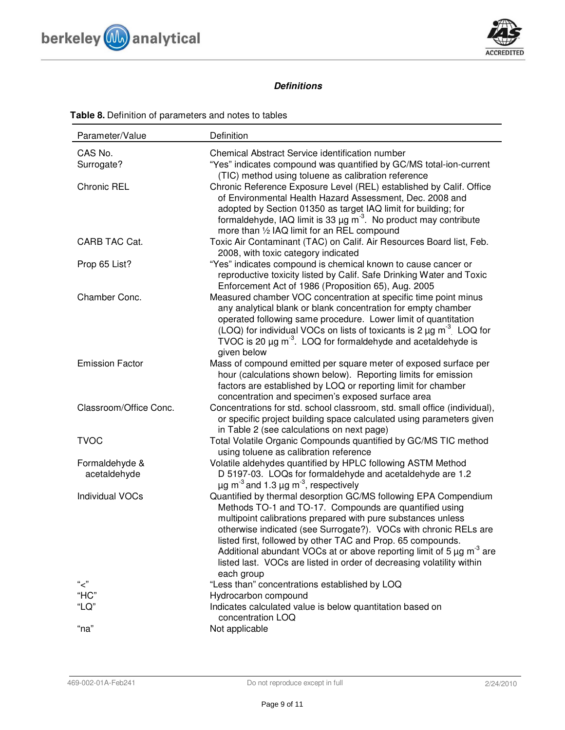



# **Definitions**

| Parameter/Value                | Definition                                                                                                                                                                                                                                                                                                                                                                                                                                                                                                   |
|--------------------------------|--------------------------------------------------------------------------------------------------------------------------------------------------------------------------------------------------------------------------------------------------------------------------------------------------------------------------------------------------------------------------------------------------------------------------------------------------------------------------------------------------------------|
| CAS No.<br>Surrogate?          | Chemical Abstract Service identification number<br>"Yes" indicates compound was quantified by GC/MS total-ion-current<br>(TIC) method using toluene as calibration reference                                                                                                                                                                                                                                                                                                                                 |
| <b>Chronic REL</b>             | Chronic Reference Exposure Level (REL) established by Calif. Office<br>of Environmental Health Hazard Assessment, Dec. 2008 and<br>adopted by Section 01350 as target IAQ limit for building; for<br>formaldehyde, IAQ limit is 33 $\mu$ g m <sup>-3</sup> . No product may contribute<br>more than 1/2 IAQ limit for an REL compound                                                                                                                                                                        |
| CARB TAC Cat.                  | Toxic Air Contaminant (TAC) on Calif. Air Resources Board list, Feb.<br>2008, with toxic category indicated                                                                                                                                                                                                                                                                                                                                                                                                  |
| Prop 65 List?                  | "Yes" indicates compound is chemical known to cause cancer or<br>reproductive toxicity listed by Calif. Safe Drinking Water and Toxic<br>Enforcement Act of 1986 (Proposition 65), Aug. 2005                                                                                                                                                                                                                                                                                                                 |
| Chamber Conc.                  | Measured chamber VOC concentration at specific time point minus<br>any analytical blank or blank concentration for empty chamber<br>operated following same procedure. Lower limit of quantitation<br>(LOQ) for individual VOCs on lists of toxicants is 2 $\mu$ g m <sup>-3</sup> LOQ for<br>TVOC is 20 $\mu$ g m <sup>-3</sup> . LOQ for formaldehyde and acetaldehyde is<br>given below                                                                                                                   |
| <b>Emission Factor</b>         | Mass of compound emitted per square meter of exposed surface per<br>hour (calculations shown below). Reporting limits for emission<br>factors are established by LOQ or reporting limit for chamber<br>concentration and specimen's exposed surface area                                                                                                                                                                                                                                                     |
| Classroom/Office Conc.         | Concentrations for std. school classroom, std. small office (individual),<br>or specific project building space calculated using parameters given<br>in Table 2 (see calculations on next page)                                                                                                                                                                                                                                                                                                              |
| <b>TVOC</b>                    | Total Volatile Organic Compounds quantified by GC/MS TIC method<br>using toluene as calibration reference                                                                                                                                                                                                                                                                                                                                                                                                    |
| Formaldehyde &<br>acetaldehyde | Volatile aldehydes quantified by HPLC following ASTM Method<br>D 5197-03. LOQs for formaldehyde and acetaldehyde are 1.2<br>$\mu$ g m <sup>-3</sup> and 1.3 $\mu$ g m <sup>-3</sup> , respectively                                                                                                                                                                                                                                                                                                           |
| <b>Individual VOCs</b>         | Quantified by thermal desorption GC/MS following EPA Compendium<br>Methods TO-1 and TO-17. Compounds are quantified using<br>multipoint calibrations prepared with pure substances unless<br>otherwise indicated (see Surrogate?). VOCs with chronic RELs are<br>listed first, followed by other TAC and Prop. 65 compounds.<br>Additional abundant VOCs at or above reporting limit of 5 $\mu$ g m <sup>-3</sup> are<br>listed last. VOCs are listed in order of decreasing volatility within<br>each group |
| "<"                            | "Less than" concentrations established by LOQ                                                                                                                                                                                                                                                                                                                                                                                                                                                                |
| "HC"<br>"LQ"                   | Hydrocarbon compound<br>Indicates calculated value is below quantitation based on<br>concentration LOQ                                                                                                                                                                                                                                                                                                                                                                                                       |
| "na"                           | Not applicable                                                                                                                                                                                                                                                                                                                                                                                                                                                                                               |

# **Table 8.** Definition of parameters and notes to tables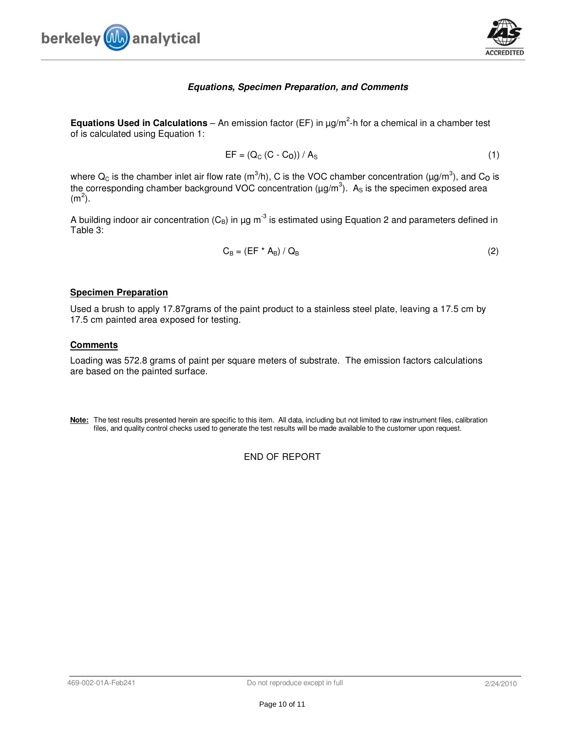



#### **Equations, Specimen Preparation, and Comments**

**Equations Used in Calculations** – An emission factor (EF) in  $\mu$ g/m<sup>2</sup>-h for a chemical in a chamber test of is calculated using Equation 1:

$$
EF = (Q_C (C - C_0)) / A_S
$$
 (1)

where  $Q_C$  is the chamber inlet air flow rate (m<sup>3</sup>/h), C is the VOC chamber concentration (µg/m<sup>3</sup>), and C<sub>0</sub> is the corresponding chamber background VOC concentration ( $\mu$ g/m<sup>3</sup>). A<sub>s</sub> is the specimen exposed area  $(m<sup>2</sup>)$ .

A building indoor air concentration  $(C_B)$  in  $\mu g$  m<sup>-3</sup> is estimated using Equation 2 and parameters defined in Table 3:

$$
C_{B} = (EF * A_{B}) / Q_{B}
$$
 (2)

#### **Specimen Preparation**

Used a brush to apply 17.87grams of the paint product to a stainless steel plate, leaving a 17.5 cm by 17.5 cm painted area exposed for testing.

#### **Comments**

Loading was 572.8 grams of paint per square meters of substrate. The emission factors calculations are based on the painted surface.

**Note:** The test results presented herein are specific to this item. All data, including but not limited to raw instrument files, calibration files, and quality control checks used to generate the test results will be made available to the customer upon request.

END OF REPORT